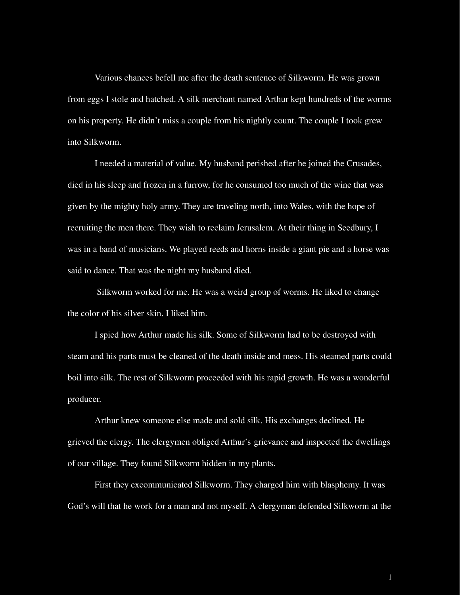Various chances befell me after the death sentence of Silkworm. He was grown from eggs I stole and hatched. A silk merchant named Arthur kept hundreds of the worms on his property. He didn't miss a couple from his nightly count. The couple I took grew into Silkworm.

I needed a material of value. My husband perished after he joined the Crusades, died in his sleep and frozen in a furrow, for he consumed too much of the wine that was given by the mighty holy army. They are traveling north, into Wales, with the hope of recruiting the men there. They wish to reclaim Jerusalem. At their thing in Seedbury, I was in a band of musicians. We played reeds and horns inside a giant pie and a horse was said to dance. That was the night my husband died.

Silkworm worked for me. He was a weird group of worms. He liked to change the color of his silver skin. I liked him.

I spied how Arthur made his silk. Some of Silkworm had to be destroyed with steam and his parts must be cleaned of the death inside and mess. His steamed parts could boil into silk. The rest of Silkworm proceeded with his rapid growth. He was a wonderful producer.

Arthur knew someone else made and sold silk. His exchanges declined. He grieved the clergy. The clergymen obliged Arthur's grievance and inspected the dwellings of our village. They found Silkworm hidden in my plants.

First they excommunicated Silkworm. They charged him with blasphemy. It was God's will that he work for a man and not myself. A clergyman defended Silkworm at the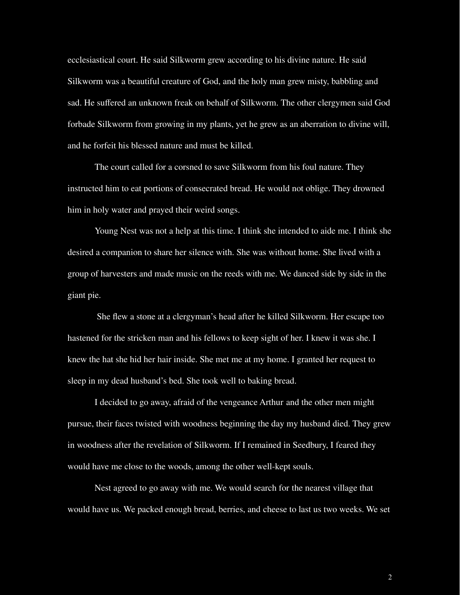ecclesiastical court. He said Silkworm grew according to his divine nature. He said Silkworm was a beautiful creature of God, and the holy man grew misty, babbling and sad. He suffered an unknown freak on behalf of Silkworm. The other clergymen said God forbade Silkworm from growing in my plants, yet he grew as an aberration to divine will, and he forfeit his blessed nature and must be killed.

The court called for a corsned to save Silkworm from his foul nature. They instructed him to eat portions of consecrated bread. He would not oblige. They drowned him in holy water and prayed their weird songs.

Young Nest was not a help at this time. I think she intended to aide me. I think she desired a companion to share her silence with. She was without home. She lived with a group of harvesters and made music on the reeds with me. We danced side by side in the giant pie.

She flew a stone at a clergyman's head after he killed Silkworm. Her escape too hastened for the stricken man and his fellows to keep sight of her. I knew it was she. I knew the hat she hid her hair inside. She met me at my home. I granted her request to sleep in my dead husband's bed. She took well to baking bread.

I decided to go away, afraid of the vengeance Arthur and the other men might pursue, their faces twisted with woodness beginning the day my husband died. They grew in woodness after the revelation of Silkworm. If I remained in Seedbury, I feared they would have me close to the woods, among the other well-kept souls.

Nest agreed to go away with me. We would search for the nearest village that would have us. We packed enough bread, berries, and cheese to last us two weeks. We set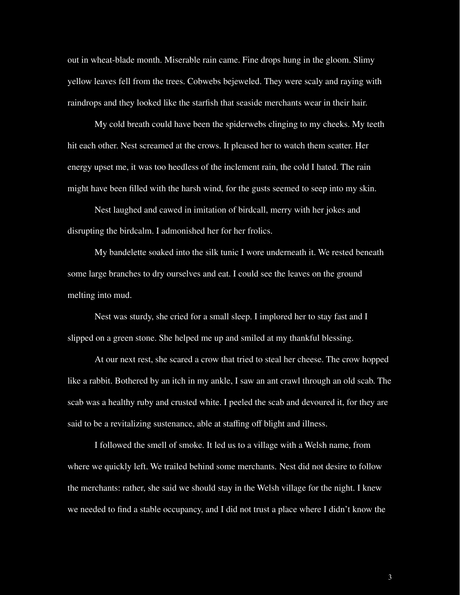out in wheat-blade month. Miserable rain came. Fine drops hung in the gloom. Slimy yellow leaves fell from the trees. Cobwebs bejeweled. They were scaly and raying with raindrops and they looked like the starfish that seaside merchants wear in their hair.

My cold breath could have been the spiderwebs clinging to my cheeks. My teeth hit each other. Nest screamed at the crows. It pleased her to watch them scatter. Her energy upset me, it was too heedless of the inclement rain, the cold I hated. The rain might have been filled with the harsh wind, for the gusts seemed to seep into my skin.

Nest laughed and cawed in imitation of birdcall, merry with her jokes and disrupting the birdcalm. I admonished her for her frolics.

My bandelette soaked into the silk tunic I wore underneath it. We rested beneath some large branches to dry ourselves and eat. I could see the leaves on the ground melting into mud.

Nest was sturdy, she cried for a small sleep. I implored her to stay fast and I slipped on a green stone. She helped me up and smiled at my thankful blessing.

At our next rest, she scared a crow that tried to steal her cheese. The crow hopped like a rabbit. Bothered by an itch in my ankle, I saw an ant crawl through an old scab. The scab was a healthy ruby and crusted white. I peeled the scab and devoured it, for they are said to be a revitalizing sustenance, able at staffing off blight and illness.

I followed the smell of smoke. It led us to a village with a Welsh name, from where we quickly left. We trailed behind some merchants. Nest did not desire to follow the merchants: rather, she said we should stay in the Welsh village for the night. I knew we needed to find a stable occupancy, and I did not trust a place where I didn't know the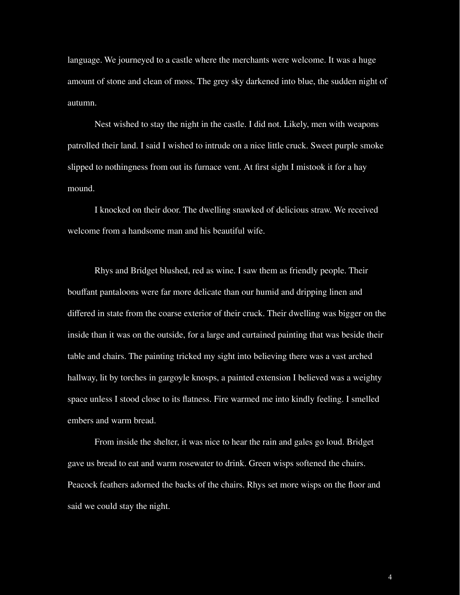language. We journeyed to a castle where the merchants were welcome. It was a huge amount of stone and clean of moss. The grey sky darkened into blue, the sudden night of autumn.

Nest wished to stay the night in the castle. I did not. Likely, men with weapons patrolled their land. I said I wished to intrude on a nice little cruck. Sweet purple smoke slipped to nothingness from out its furnace vent. At first sight I mistook it for a hay mound.

I knocked on their door. The dwelling snawked of delicious straw. We received welcome from a handsome man and his beautiful wife.

Rhys and Bridget blushed, red as wine. I saw them as friendly people. Their bouffant pantaloons were far more delicate than our humid and dripping linen and differed in state from the coarse exterior of their cruck. Their dwelling was bigger on the inside than it was on the outside, for a large and curtained painting that was beside their table and chairs. The painting tricked my sight into believing there was a vast arched hallway, lit by torches in gargoyle knosps, a painted extension I believed was a weighty space unless I stood close to its flatness. Fire warmed me into kindly feeling. I smelled embers and warm bread.

From inside the shelter, it was nice to hear the rain and gales go loud. Bridget gave us bread to eat and warm rosewater to drink. Green wisps softened the chairs. Peacock feathers adorned the backs of the chairs. Rhys set more wisps on the floor and said we could stay the night.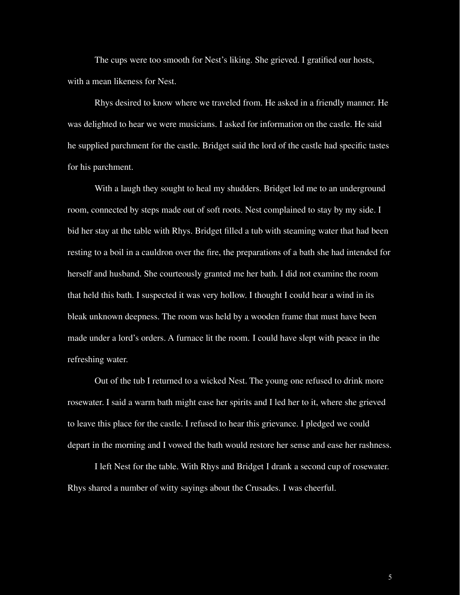The cups were too smooth for Nest's liking. She grieved. I gratified our hosts, with a mean likeness for Nest.

Rhys desired to know where we traveled from. He asked in a friendly manner. He was delighted to hear we were musicians. I asked for information on the castle. He said he supplied parchment for the castle. Bridget said the lord of the castle had specific tastes for his parchment.

With a laugh they sought to heal my shudders. Bridget led me to an underground room, connected by steps made out of soft roots. Nest complained to stay by my side. I bid her stay at the table with Rhys. Bridget filled a tub with steaming water that had been resting to a boil in a cauldron over the fire, the preparations of a bath she had intended for herself and husband. She courteously granted me her bath. I did not examine the room that held this bath. I suspected it was very hollow. I thought I could hear a wind in its bleak unknown deepness. The room was held by a wooden frame that must have been made under a lord's orders. A furnace lit the room. I could have slept with peace in the refreshing water.

Out of the tub I returned to a wicked Nest. The young one refused to drink more rosewater. I said a warm bath might ease her spirits and I led her to it, where she grieved to leave this place for the castle. I refused to hear this grievance. I pledged we could depart in the morning and I vowed the bath would restore her sense and ease her rashness.

I left Nest for the table. With Rhys and Bridget I drank a second cup of rosewater. Rhys shared a number of witty sayings about the Crusades. I was cheerful.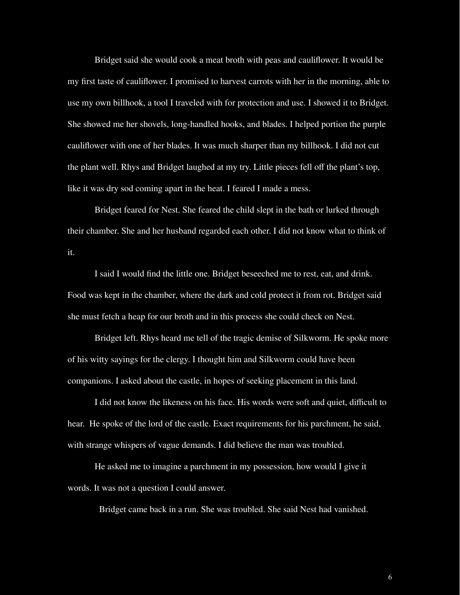Bridget said she would cook a meat broth with peas and cauliflower. It would be my first taste of cauliflower. I promised to harvest carrots with her in the morning, able to use my own billhook, a tool I traveled with for protection and use. I showed it to Bridget. She showed me her shovels, long-handled hooks, and blades. I helped portion the purple cauliflower with one of her blades. It was much sharper than my billhook. I did not cut the plant well. Rhys and Bridget laughed at my try. Little pieces fell off the plant's top, like it was dry sod coming apart in the heat. I feared I made a mess.

Bridget feared for Nest. She feared the child slept in the bath or lurked through their chamber. She and her husband regarded each other. I did not know what to think of it.

I said I would find the little one. Bridget beseeched me to rest, eat, and drink. Food was kept in the chamber, where the dark and cold protect it from rot. Bridget said she must fetch a heap for our broth and in this process she could check on Nest.

Bridget left. Rhys heard me tell of the tragic demise of Silkworm. He spoke more of his witty sayings for the clergy. I thought him and Silkworm could have been companions. I asked about the castle, in hopes of seeking placement in this land.

I did not know the likeness on his face. His words were soft and quiet, difficult to hear. He spoke of the lord of the castle. Exact requirements for his parchment, he said, with strange whispers of vague demands. I did believe the man was troubled.

He asked me to imagine a parchment in my possession, how would I give it words. It was not a question I could answer.

Bridget came back in a run. She was troubled. She said Nest had vanished.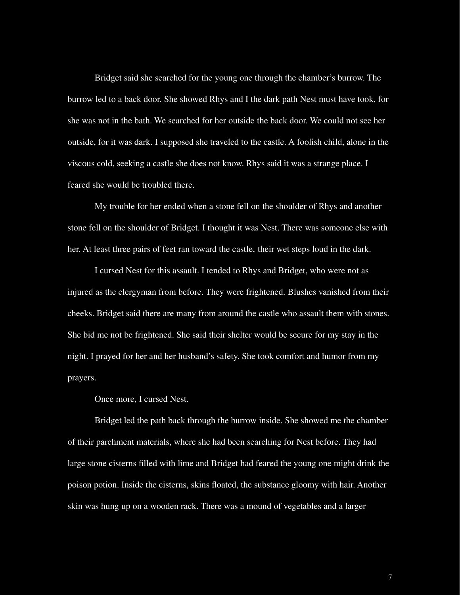Bridget said she searched for the young one through the chamber's burrow. The burrow led to a back door. She showed Rhys and I the dark path Nest must have took, for she was not in the bath. We searched for her outside the back door. We could not see her outside, for it was dark. I supposed she traveled to the castle. A foolish child, alone in the viscous cold, seeking a castle she does not know. Rhys said it was a strange place. I feared she would be troubled there.

My trouble for her ended when a stone fell on the shoulder of Rhys and another stone fell on the shoulder of Bridget. I thought it was Nest. There was someone else with her. At least three pairs of feet ran toward the castle, their wet steps loud in the dark.

I cursed Nest for this assault. I tended to Rhys and Bridget, who were not as injured as the clergyman from before. They were frightened. Blushes vanished from their cheeks. Bridget said there are many from around the castle who assault them with stones. She bid me not be frightened. She said their shelter would be secure for my stay in the night. I prayed for her and her husband's safety. She took comfort and humor from my prayers.

Once more, I cursed Nest.

Bridget led the path back through the burrow inside. She showed me the chamber of their parchment materials, where she had been searching for Nest before. They had large stone cisterns filled with lime and Bridget had feared the young one might drink the poison potion. Inside the cisterns, skins floated, the substance gloomy with hair. Another skin was hung up on a wooden rack. There was a mound of vegetables and a larger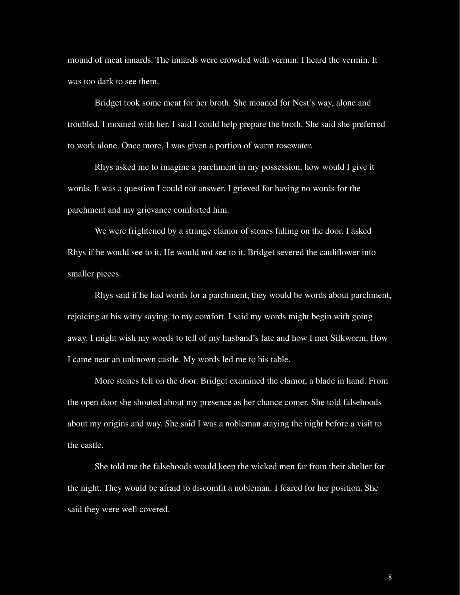mound of meat innards. The innards were crowded with vermin. I heard the vermin. It was too dark to see them.

Bridget took some meat for her broth. She moaned for Nest's way, alone and troubled. I moaned with her. I said I could help prepare the broth. She said she preferred to work alone. Once more, I was given a portion of warm rosewater.

Rhys asked me to imagine a parchment in my possession, how would I give it words. It was a question I could not answer. I grieved for having no words for the parchment and my grievance comforted him.

We were frightened by a strange clamor of stones falling on the door. I asked Rhys if he would see to it. He would not see to it. Bridget severed the cauliflower into smaller pieces.

Rhys said if he had words for a parchment, they would be words about parchment, rejoicing at his witty saying, to my comfort. I said my words might begin with going away. I might wish my words to tell of my husband's fate and how I met Silkworm. How I came near an unknown castle. My words led me to his table.

More stones fell on the door. Bridget examined the clamor, a blade in hand. From the open door she shouted about my presence as her chance comer. She told falsehoods about my origins and way. She said I was a nobleman staying the night before a visit to the castle.

She told me the falsehoods would keep the wicked men far from their shelter for the night. They would be afraid to discomfit a nobleman. I feared for her position. She said they were well covered.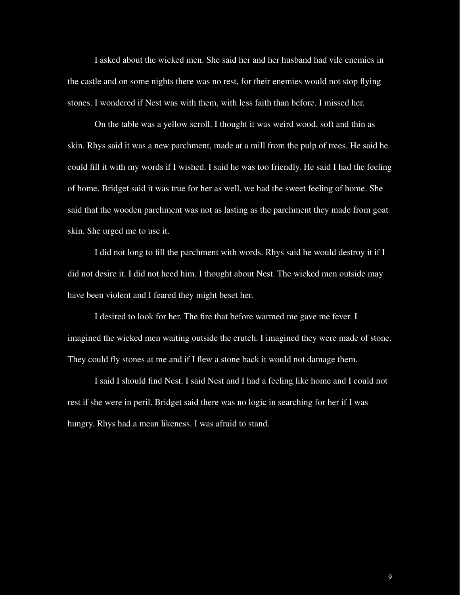I asked about the wicked men. She said her and her husband had vile enemies in the castle and on some nights there was no rest, for their enemies would not stop flying stones. I wondered if Nest was with them, with less faith than before. I missed her.

On the table was a yellow scroll. I thought it was weird wood, soft and thin as skin. Rhys said it was a new parchment, made at a mill from the pulp of trees. He said he could fill it with my words if I wished. I said he was too friendly. He said I had the feeling of home. Bridget said it was true for her as well, we had the sweet feeling of home. She said that the wooden parchment was not as lasting as the parchment they made from goat skin. She urged me to use it.

I did not long to fill the parchment with words. Rhys said he would destroy it if I did not desire it. I did not heed him. I thought about Nest. The wicked men outside may have been violent and I feared they might beset her.

I desired to look for her. The fire that before warmed me gave me fever. I imagined the wicked men waiting outside the crutch. I imagined they were made of stone. They could fly stones at me and if I flew a stone back it would not damage them.

I said I should find Nest. I said Nest and I had a feeling like home and I could not rest if she were in peril. Bridget said there was no logic in searching for her if I was hungry. Rhys had a mean likeness. I was afraid to stand.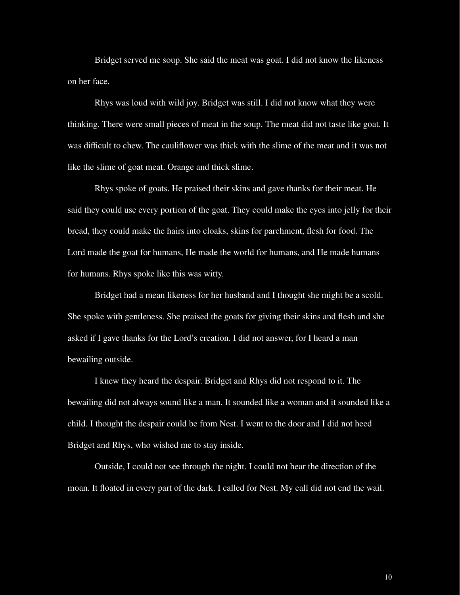Bridget served me soup. She said the meat was goat. I did not know the likeness on her face.

Rhys was loud with wild joy. Bridget was still. I did not know what they were thinking. There were small pieces of meat in the soup. The meat did not taste like goat. It was difficult to chew. The cauliflower was thick with the slime of the meat and it was not like the slime of goat meat. Orange and thick slime.

Rhys spoke of goats. He praised their skins and gave thanks for their meat. He said they could use every portion of the goat. They could make the eyes into jelly for their bread, they could make the hairs into cloaks, skins for parchment, flesh for food. The Lord made the goat for humans, He made the world for humans, and He made humans for humans. Rhys spoke like this was witty.

Bridget had a mean likeness for her husband and I thought she might be a scold. She spoke with gentleness. She praised the goats for giving their skins and flesh and she asked if I gave thanks for the Lord's creation. I did not answer, for I heard a man bewailing outside.

I knew they heard the despair. Bridget and Rhys did not respond to it. The bewailing did not always sound like a man. It sounded like a woman and it sounded like a child. I thought the despair could be from Nest. I went to the door and I did not heed Bridget and Rhys, who wished me to stay inside.

Outside, I could not see through the night. I could not hear the direction of the moan. It floated in every part of the dark. I called for Nest. My call did not end the wail.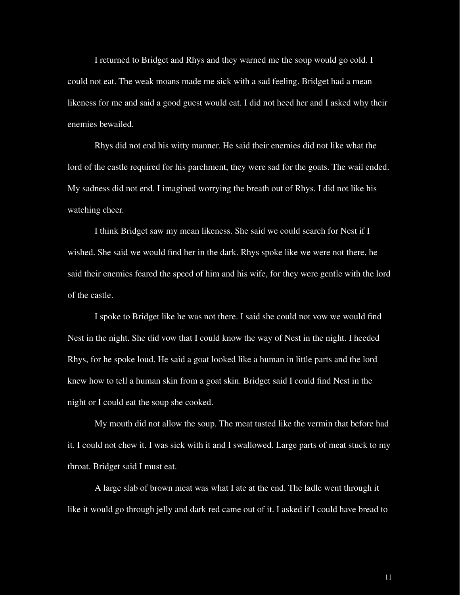I returned to Bridget and Rhys and they warned me the soup would go cold. I could not eat. The weak moans made me sick with a sad feeling. Bridget had a mean likeness for me and said a good guest would eat. I did not heed her and I asked why their enemies bewailed.

Rhys did not end his witty manner. He said their enemies did not like what the lord of the castle required for his parchment, they were sad for the goats. The wail ended. My sadness did not end. I imagined worrying the breath out of Rhys. I did not like his watching cheer.

I think Bridget saw my mean likeness. She said we could search for Nest if I wished. She said we would find her in the dark. Rhys spoke like we were not there, he said their enemies feared the speed of him and his wife, for they were gentle with the lord of the castle.

I spoke to Bridget like he was not there. I said she could not vow we would find Nest in the night. She did vow that I could know the way of Nest in the night. I heeded Rhys, for he spoke loud. He said a goat looked like a human in little parts and the lord knew how to tell a human skin from a goat skin. Bridget said I could find Nest in the night or I could eat the soup she cooked.

My mouth did not allow the soup. The meat tasted like the vermin that before had it. I could not chew it. I was sick with it and I swallowed. Large parts of meat stuck to my throat. Bridget said I must eat.

A large slab of brown meat was what I ate at the end. The ladle went through it like it would go through jelly and dark red came out of it. I asked if I could have bread to